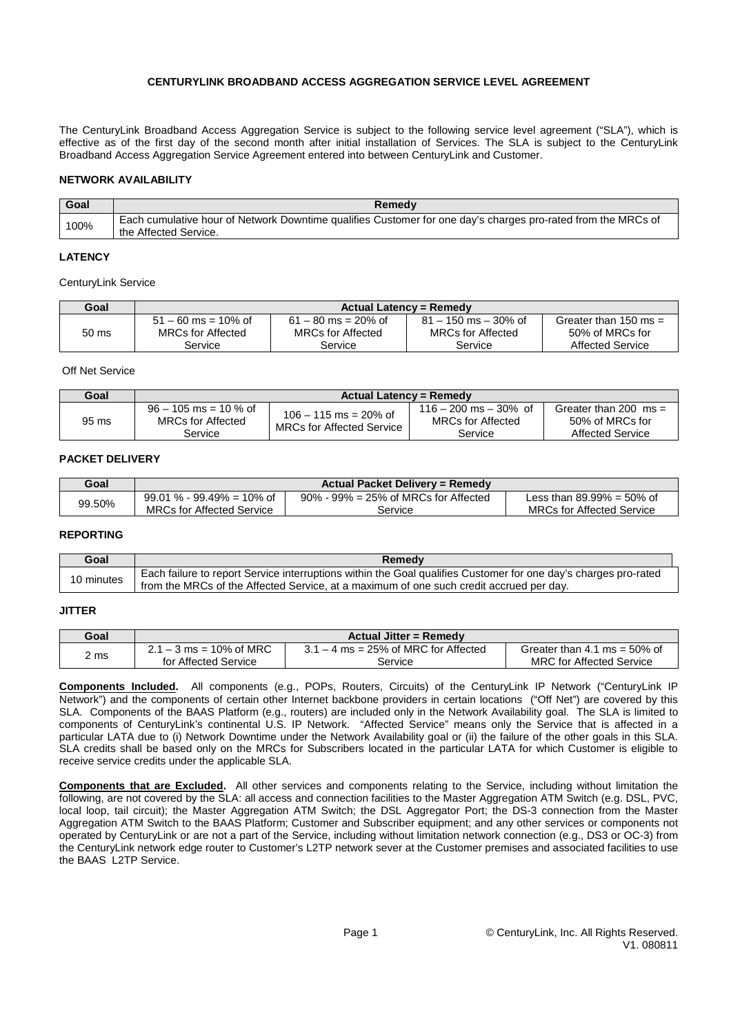# **CENTURYLINK BROADBAND ACCESS AGGREGATION SERVICE LEVEL AGREEMENT**

The CenturyLink Broadband Access Aggregation Service is subject to the following service level agreement ("SLA"), which is effective as of the first day of the second month after initial installation of Services. The SLA is subject to the CenturyLink Broadband Access Aggregation Service Agreement entered into between CenturyLink and Customer.

## **NETWORK AVAILABILITY**

| Goal | Remedy                                                                                                                                |
|------|---------------------------------------------------------------------------------------------------------------------------------------|
| 100% | Each cumulative hour of Network Downtime qualifies Customer for one day's charges pro-rated from the MRCs of<br>the Affected Service. |

### **LATENCY**

CenturyLink Service

| Goal  | <b>Actual Latency = Remedy</b> |                          |                           |                         |
|-------|--------------------------------|--------------------------|---------------------------|-------------------------|
| 50 ms | $51 - 60$ ms = 10% of          | $61 - 80$ ms = 20% of    | $81 - 150$ ms $- 30\%$ of | Greater than 150 ms $=$ |
|       | MRCs for Affected              | <b>MRCs for Affected</b> | <b>MRCs for Affected</b>  | 50% of MRCs for         |
|       | Service                        | Service                  | Service                   | <b>Affected Service</b> |

Off Net Service

| Goal  | <b>Actual Latency = Remedy</b>                                 |                                                             |                                                                   |                                                                              |
|-------|----------------------------------------------------------------|-------------------------------------------------------------|-------------------------------------------------------------------|------------------------------------------------------------------------------|
| 95 ms | $96 - 105$ ms = 10 % of<br><b>MRCs for Affected</b><br>Service | $106 - 115$ ms = 20% of<br><b>MRCs for Affected Service</b> | $116 - 200$ ms $- 30\%$ of<br><b>MRCs for Affected</b><br>Service | Greater than 200 $\text{ms} =$<br>50% of MRCs for<br><b>Affected Service</b> |

### **PACKET DELIVERY**

| Goal   |                                  | Actual Packet Delivery = Remedy            |                                  |
|--------|----------------------------------|--------------------------------------------|----------------------------------|
| 99.50% | $99.01\ \%$ - $99.49\%$ = 10% of | $90\%$ - $99\%$ = 25% of MRCs for Affected | Less than $89.99\% = 50\%$ of    |
|        | <b>MRCs for Affected Service</b> | Service                                    | <b>MRCs for Affected Service</b> |

#### **REPORTING**

| Goal       | Remedy                                                                                                          |
|------------|-----------------------------------------------------------------------------------------------------------------|
| 10 minutes | Each failure to report Service interruptions within the Goal qualifies Customer for one day's charges pro-rated |
|            | from the MRCs of the Affected Service, at a maximum of one such credit accrued per day.                         |

## **JITTER**

| Goal | <b>Actual Jitter = Remedy</b> |                                        |                                 |
|------|-------------------------------|----------------------------------------|---------------------------------|
| ∠ ms | $2.1 - 3$ ms = 10% of MRC     | $3.1 - 4$ ms = 25% of MRC for Affected | Greater than 4.1 ms = $50\%$ of |
|      | for Affected Service          | Service                                | <b>MRC</b> for Affected Service |

**Components Included.** All components (e.g., POPs, Routers, Circuits) of the CenturyLink IP Network ("CenturyLink IP Network") and the components of certain other Internet backbone providers in certain locations ("Off Net") are covered by this SLA. Components of the BAAS Platform (e.g., routers) are included only in the Network Availability goal. The SLA is limited to components of CenturyLink's continental U.S. IP Network. "Affected Service" means only the Service that is affected in a particular LATA due to (i) Network Downtime under the Network Availability goal or (ii) the failure of the other goals in this SLA. SLA credits shall be based only on the MRCs for Subscribers located in the particular LATA for which Customer is eligible to receive service credits under the applicable SLA.

**Components that are Excluded.** All other services and components relating to the Service, including without limitation the following, are not covered by the SLA: all access and connection facilities to the Master Aggregation ATM Switch (e.g. DSL, PVC, local loop, tail circuit); the Master Aggregation ATM Switch; the DSL Aggregator Port; the DS-3 connection from the Master Aggregation ATM Switch to the BAAS Platform; Customer and Subscriber equipment; and any other services or components not operated by CenturyLink or are not a part of the Service, including without limitation network connection (e.g., DS3 or OC-3) from the CenturyLink network edge router to Customer's L2TP network sever at the Customer premises and associated facilities to use the BAAS L2TP Service.